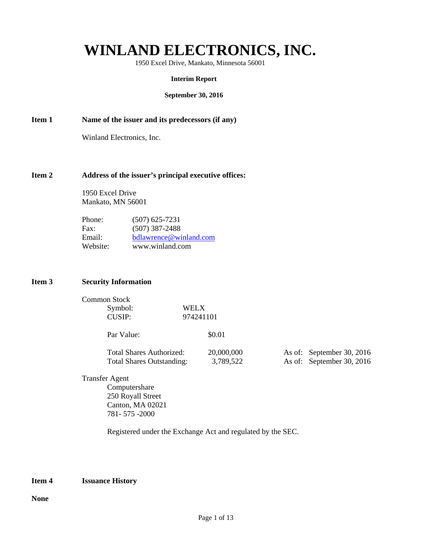# **WINLAND ELECTRONICS, INC.**

1950 Excel Drive, Mankato, Minnesota 56001

#### **Interim Report**

#### **September 30, 2016**

**Item 1** Name of the issuer and its predecessors (if any)

Winland Electronics, Inc.

#### **Item 2 Address of the issuer's principal executive offices:**

 1950 Excel Drive Mankato, MN 56001

| Phone:   | $(507)$ 625-7231       |
|----------|------------------------|
| Fax:     | $(507)$ 387-2488       |
| Email:   | bdlawrence@winland.com |
| Website: | www.winland.com        |

#### **Item 3 Security Information**

| Common Stock |           |
|--------------|-----------|
| Symbol:      | WELX      |
| CUSIP:       | 974241101 |

| Par Value:                       | \$0.01     |                           |
|----------------------------------|------------|---------------------------|
| Total Shares Authorized:         | 20,000,000 | As of: September 30, 2016 |
| <b>Total Shares Outstanding:</b> | 3.789.522  | As of: September 30, 2016 |

Transfer Agent Computershare 250 Royall Street Canton, MA 02021 781- 575 -2000

Registered under the Exchange Act and regulated by the SEC.

#### **Item 4 Issuance History**

**None**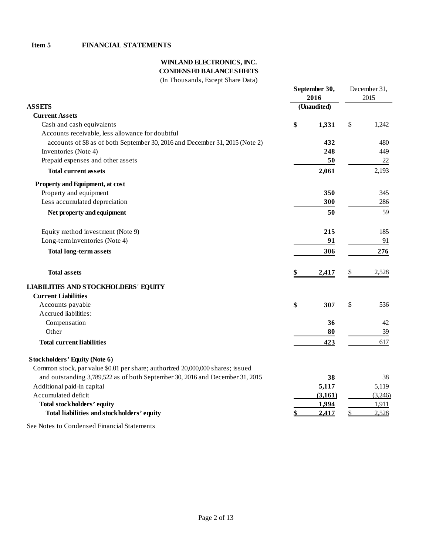# **WINLAND ELECTRONICS, INC.**

**CONDENSED BALANCE SHEETS**

| (In Thousands, Except Share Data) |  |  |  |
|-----------------------------------|--|--|--|
|-----------------------------------|--|--|--|

|                                                                                |    | September 30, |      | December 31, |  |
|--------------------------------------------------------------------------------|----|---------------|------|--------------|--|
|                                                                                |    | 2016          | 2015 |              |  |
| <b>ASSETS</b>                                                                  |    | (Unaudited)   |      |              |  |
| <b>Current Assets</b>                                                          |    |               |      |              |  |
| Cash and cash equivalents                                                      | \$ | 1,331         | \$   | 1,242        |  |
| Accounts receivable, less allowance for doubtful                               |    |               |      |              |  |
| accounts of \$8 as of both September 30, 2016 and December 31, 2015 (Note 2)   |    | 432           |      | 480          |  |
| Inventories (Note 4)                                                           |    | 248           |      | 449          |  |
| Prepaid expenses and other assets                                              |    | 50            |      | 22           |  |
| <b>Total current assets</b>                                                    |    | 2,061         |      | 2,193        |  |
| Property and Equipment, at cost                                                |    |               |      |              |  |
| Property and equipment                                                         |    | 350           |      | 345          |  |
| Less accumulated depreciation                                                  |    | 300           |      | 286          |  |
| Net property and equipment                                                     |    | 50            |      | 59           |  |
| Equity method investment (Note 9)                                              |    | 215           |      | 185          |  |
| Long-term inventories (Note 4)                                                 |    | 91            |      | 91           |  |
| <b>Total long-term assets</b>                                                  |    | 306           |      | 276          |  |
| <b>Total assets</b>                                                            | \$ | 2,417         | \$   | 2,528        |  |
| <b>LIABILITIES AND STOCKHOLDERS' EQUITY</b>                                    |    |               |      |              |  |
| <b>Current Liabilities</b>                                                     |    |               |      |              |  |
| Accounts payable                                                               | \$ | 307           | \$   | 536          |  |
| Accrued liabilities:                                                           |    |               |      |              |  |
| Compensation                                                                   |    | 36            |      | 42           |  |
| Other                                                                          |    | 80            |      | 39           |  |
| <b>Total current liabilities</b>                                               |    | 423           |      | 617          |  |
| <b>Stockholders' Equity (Note 6)</b>                                           |    |               |      |              |  |
| Common stock, par value \$0.01 per share; authorized 20,000,000 shares; issued |    |               |      |              |  |
| and outstanding 3,789,522 as of both September 30, 2016 and December 31, 2015  |    | 38            |      | 38           |  |
| Additional paid-in capital                                                     |    | 5,117         |      | 5,119        |  |
| Accumulated deficit                                                            |    | (3,161)       |      | (3,246)      |  |
| <b>Total stockholders' equity</b>                                              |    | 1,994         |      | 1,911        |  |
| Total liabilities and stockholders' equity                                     |    | 2.417         |      | 2,528        |  |
| See Notes to Condensed Financial Statements                                    |    |               |      |              |  |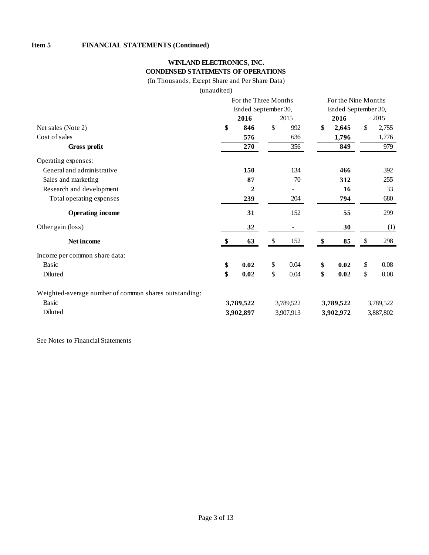### **WINLAND ELECTRONICS, INC. CONDENSED STATEMENTS OF OPERATIONS**

(In Thousands, Except Share and Per Share Data)

(unaudited)

|                                                       |                     | For the Three Months   |    |           |           | For the Nine Months |               |           |  |
|-------------------------------------------------------|---------------------|------------------------|----|-----------|-----------|---------------------|---------------|-----------|--|
|                                                       | Ended September 30, |                        |    |           |           | Ended September 30, |               |           |  |
|                                                       |                     | 2016                   |    | 2015      |           | 2016                |               | 2015      |  |
| Net sales (Note 2)                                    | \$                  | 846                    | \$ | 992       | \$        | 2,645               | $\mathsf{\$}$ | 2,755     |  |
| Cost of sales                                         |                     | 576                    |    | 636       |           | 1,796               |               | 1,776     |  |
| Gross profit                                          |                     | 270                    |    | 356       |           | 849                 |               | 979       |  |
| Operating expenses:                                   |                     |                        |    |           |           |                     |               |           |  |
| General and administrative                            |                     | 150                    |    | 134       |           | 466                 |               | 392       |  |
| Sales and marketing                                   |                     | 87                     |    | 70        |           | 312                 |               | 255       |  |
| Research and development                              |                     | 2                      |    |           |           | 16                  |               | 33        |  |
| Total operating expenses                              |                     | 239                    |    | 204       |           | 794                 |               | 680       |  |
| <b>Operating income</b>                               |                     | 31                     |    | 152       |           | 55                  |               | 299       |  |
| Other gain (loss)                                     |                     | 32                     |    |           |           | 30                  |               | (1)       |  |
| Net income                                            |                     | 63                     | S  | 152       | \$        | 85                  | \$            | 298       |  |
| Income per common share data:                         |                     |                        |    |           |           |                     |               |           |  |
| Basic                                                 | \$                  | 0.02                   | \$ | 0.04      | \$        | 0.02                | \$            | 0.08      |  |
| Diluted                                               | \$                  | 0.02                   | \$ | 0.04      | \$        | 0.02                | \$            | 0.08      |  |
| Weighted-average number of common shares outstanding: |                     |                        |    |           |           |                     |               |           |  |
| Basic                                                 |                     | 3,789,522<br>3,789,522 |    |           | 3,789,522 |                     |               | 3,789,522 |  |
| Diluted                                               |                     | 3,902,897              |    | 3,907,913 |           | 3,902,972           |               | 3,887,802 |  |

See Notes to Financial Statements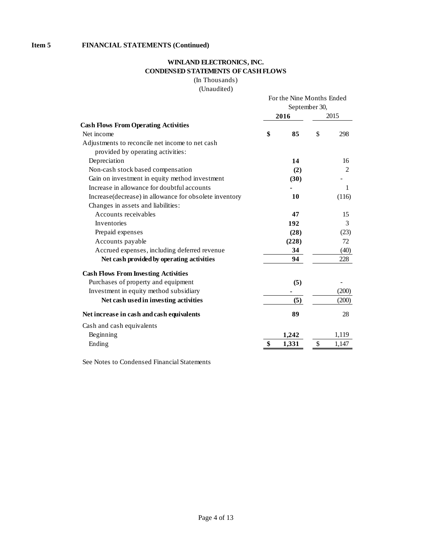## **WINLAND ELECTRONICS, INC. CONDENSED STATEMENTS OF CASH FLOWS**

(In Thousands)

(Unaudited)

|                                                        | For the Nine Months Ended<br>September 30, |       |    |       |
|--------------------------------------------------------|--------------------------------------------|-------|----|-------|
|                                                        |                                            | 2016  |    | 2015  |
| <b>Cash Flows From Operating Activities</b>            |                                            |       |    |       |
| Net income                                             | \$                                         | 85    | \$ | 298   |
| Adjustments to reconcile net income to net cash        |                                            |       |    |       |
| provided by operating activities:                      |                                            |       |    |       |
| Depreciation                                           |                                            | 14    |    | 16    |
| Non-cash stock based compensation                      |                                            | (2)   |    | 2     |
| Gain on investment in equity method investment         |                                            | (30)  |    |       |
| Increase in allowance for doubtful accounts            |                                            |       |    | 1     |
| Increase(decrease) in allowance for obsolete inventory |                                            | 10    |    | (116) |
| Changes in assets and liabilities:                     |                                            |       |    |       |
| Accounts receivables                                   |                                            | 47    |    | 15    |
| Inventories                                            |                                            | 192   |    | 3     |
| Prepaid expenses                                       |                                            | (28)  |    | (23)  |
| Accounts payable                                       |                                            | (228) |    | 72    |
| Accrued expenses, including deferred revenue           |                                            | 34    |    | (40)  |
| Net cash provided by operating activities              |                                            | 94    |    | 228   |
| <b>Cash Flows From Investing Activities</b>            |                                            |       |    |       |
| Purchases of property and equipment                    |                                            | (5)   |    |       |
| Investment in equity method subsidiary                 |                                            |       |    | (200) |
| Net cash used in investing activities                  |                                            | (5)   |    | (200) |
| Net increase in cash and cash equivalents              |                                            | 89    |    | 28    |
| Cash and cash equivalents                              |                                            |       |    |       |
| Beginning                                              |                                            | 1,242 |    | 1,119 |
| Ending                                                 | \$                                         | 1,331 | \$ | 1,147 |

See Notes to Condensed Financial Statements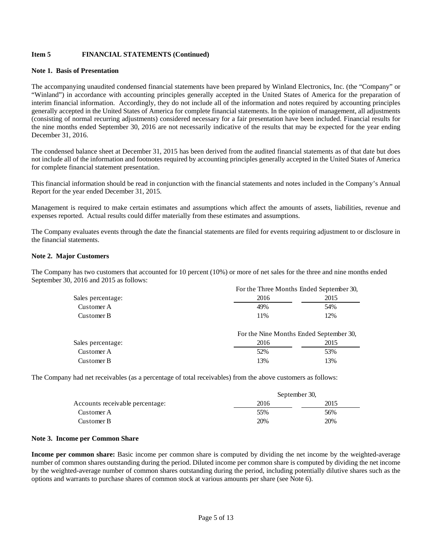#### **Note 1. Basis of Presentation**

The accompanying unaudited condensed financial statements have been prepared by Winland Electronics, Inc. (the "Company" or "Winland") in accordance with accounting principles generally accepted in the United States of America for the preparation of interim financial information. Accordingly, they do not include all of the information and notes required by accounting principles generally accepted in the United States of America for complete financial statements. In the opinion of management, all adjustments (consisting of normal recurring adjustments) considered necessary for a fair presentation have been included. Financial results for the nine months ended September 30, 2016 are not necessarily indicative of the results that may be expected for the year ending December 31, 2016.

The condensed balance sheet at December 31, 2015 has been derived from the audited financial statements as of that date but does not include all of the information and footnotes required by accounting principles generally accepted in the United States of America for complete financial statement presentation.

This financial information should be read in conjunction with the financial statements and notes included in the Company's Annual Report for the year ended December 31, 2015.

Management is required to make certain estimates and assumptions which affect the amounts of assets, liabilities, revenue and expenses reported. Actual results could differ materially from these estimates and assumptions.

The Company evaluates events through the date the financial statements are filed for events requiring adjustment to or disclosure in the financial statements.

#### **Note 2. Major Customers**

The Company has two customers that accounted for 10 percent (10%) or more of net sales for the three and nine months ended September 30, 2016 and 2015 as follows:

|                   | For the Three Months Ended September 30, |      |  |  |  |
|-------------------|------------------------------------------|------|--|--|--|
| Sales percentage: | 2016                                     | 2015 |  |  |  |
| Customer A        | 49%                                      | 54%  |  |  |  |
| Customer B        | 11%                                      | 12%  |  |  |  |
|                   |                                          |      |  |  |  |

|                   | For the Nine Months Ended September 30, |      |  |  |
|-------------------|-----------------------------------------|------|--|--|
| Sales percentage: | 2016                                    | 2015 |  |  |
| Customer A        | 52%                                     | 53%  |  |  |
| Customer B        | 13%                                     | 13%  |  |  |

The Company had net receivables (as a percentage of total receivables) from the above customers as follows:

|                                 | September 30, |      |
|---------------------------------|---------------|------|
| Accounts receivable percentage: | 2016          | 2015 |
| Customer A                      | 55%           | 56%  |
| Customer B                      | 20%           | 20%  |

#### **Note 3. Income per Common Share**

**Income per common share:** Basic income per common share is computed by dividing the net income by the weighted-average number of common shares outstanding during the period. Diluted income per common share is computed by dividing the net income by the weighted-average number of common shares outstanding during the period, including potentially dilutive shares such as the options and warrants to purchase shares of common stock at various amounts per share (see Note 6).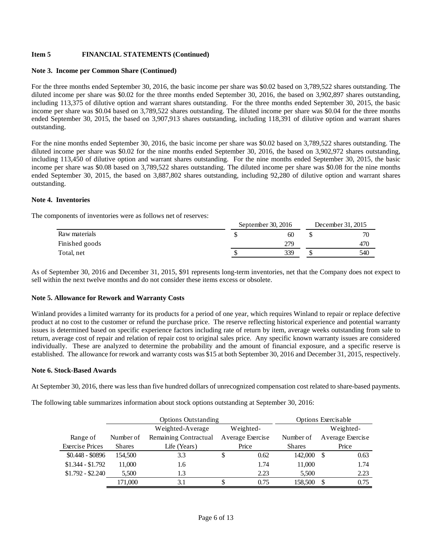#### **Note 3. Income per Common Share (Continued)**

For the three months ended September 30, 2016, the basic income per share was \$0.02 based on 3,789,522 shares outstanding. The diluted income per share was \$0.02 for the three months ended September 30, 2016, the based on 3,902,897 shares outstanding, including 113,375 of dilutive option and warrant shares outstanding. For the three months ended September 30, 2015, the basic income per share was \$0.04 based on 3,789,522 shares outstanding. The diluted income per share was \$0.04 for the three months ended September 30, 2015, the based on 3,907,913 shares outstanding, including 118,391 of dilutive option and warrant shares outstanding.

For the nine months ended September 30, 2016, the basic income per share was \$0.02 based on 3,789,522 shares outstanding. The diluted income per share was \$0.02 for the nine months ended September 30, 2016, the based on 3,902,972 shares outstanding, including 113,450 of dilutive option and warrant shares outstanding. For the nine months ended September 30, 2015, the basic income per share was \$0.08 based on 3,789,522 shares outstanding. The diluted income per share was \$0.08 for the nine months ended September 30, 2015, the based on 3,887,802 shares outstanding, including 92,280 of dilutive option and warrant shares outstanding.

#### **Note 4. Inventories**

The components of inventories were as follows net of reserves:

| September 30, $2016$ |     |  | December 31, 2015 |  |  |
|----------------------|-----|--|-------------------|--|--|
|                      | 60  |  | 70                |  |  |
|                      | 279 |  |                   |  |  |
|                      | 339 |  | 540               |  |  |
|                      |     |  |                   |  |  |

As of September 30, 2016 and December 31, 2015, \$91 represents long-term inventories, net that the Company does not expect to sell within the next twelve months and do not consider these items excess or obsolete.

#### **Note 5. Allowance for Rework and Warranty Costs**

Winland provides a limited warranty for its products for a period of one year, which requires Winland to repair or replace defective product at no cost to the customer or refund the purchase price. The reserve reflecting historical experience and potential warranty issues is determined based on specific experience factors including rate of return by item, average weeks outstanding from sale to return, average cost of repair and relation of repair cost to original sales price. Any specific known warranty issues are considered individually. These are analyzed to determine the probability and the amount of financial exposure, and a specific reserve is established. The allowance for rework and warranty costs was \$15 at both September 30, 2016 and December 31, 2015, respectively.

#### **Note 6. Stock-Based Awards**

At September 30, 2016, there was less than five hundred dollars of unrecognized compensation cost related to share-based payments.

The following table summarizes information about stock options outstanding at September 30, 2016:

|                        | <b>Options Outstanding</b> |                       |           |                  |               |           | Options Exercisable |
|------------------------|----------------------------|-----------------------|-----------|------------------|---------------|-----------|---------------------|
|                        |                            | Weighted-Average      | Weighted- |                  |               | Weighted- |                     |
| Range of               | Number of                  | Remaining Contractual |           | Average Exercise | Number of     |           | Average Exercise    |
| <b>Exercise Prices</b> | <b>Shares</b>              | Life (Years)          |           | Price            | <b>Shares</b> |           | Price               |
| $$0.448 - $0896$       | 154,500                    | 3.3                   | S         | 0.62             | 142,000       | -8        | 0.63                |
| $$1.344 - $1.792$      | 11.000                     | 1.6                   |           | 1.74             | 11,000        |           | 1.74                |
| $$1.792 - $2.240$      | 5.500                      | 1.3                   |           | 2.23             | 5,500         |           | 2.23                |
|                        | 171,000                    | 3.1                   |           | 0.75             | 158,500       |           | 0.75                |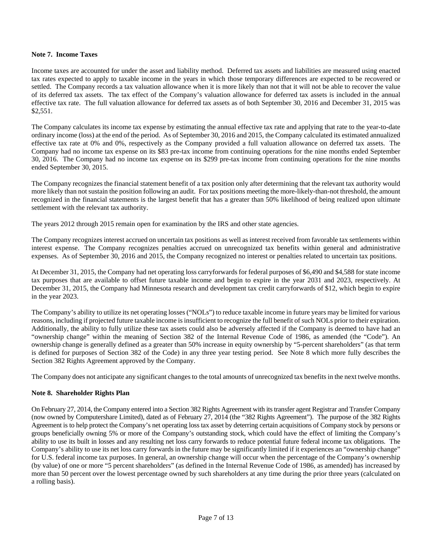#### **Note 7. Income Taxes**

Income taxes are accounted for under the asset and liability method. Deferred tax assets and liabilities are measured using enacted tax rates expected to apply to taxable income in the years in which those temporary differences are expected to be recovered or settled. The Company records a tax valuation allowance when it is more likely than not that it will not be able to recover the value of its deferred tax assets. The tax effect of the Company's valuation allowance for deferred tax assets is included in the annual effective tax rate. The full valuation allowance for deferred tax assets as of both September 30, 2016 and December 31, 2015 was \$2,551.

The Company calculates its income tax expense by estimating the annual effective tax rate and applying that rate to the year-to-date ordinary income (loss) at the end of the period. As of September 30, 2016 and 2015, the Company calculated its estimated annualized effective tax rate at 0% and 0%, respectively as the Company provided a full valuation allowance on deferred tax assets. The Company had no income tax expense on its \$83 pre-tax income from continuing operations for the nine months ended September 30, 2016. The Company had no income tax expense on its \$299 pre-tax income from continuing operations for the nine months ended September 30, 2015.

The Company recognizes the financial statement benefit of a tax position only after determining that the relevant tax authority would more likely than not sustain the position following an audit. For tax positions meeting the more-likely-than-not threshold, the amount recognized in the financial statements is the largest benefit that has a greater than 50% likelihood of being realized upon ultimate settlement with the relevant tax authority.

The years 2012 through 2015 remain open for examination by the IRS and other state agencies.

The Company recognizes interest accrued on uncertain tax positions as well as interest received from favorable tax settlements within interest expense. The Company recognizes penalties accrued on unrecognized tax benefits within general and administrative expenses. As of September 30, 2016 and 2015, the Company recognized no interest or penalties related to uncertain tax positions.

At December 31, 2015, the Company had net operating loss carryforwards for federal purposes of \$6,490 and \$4,588 for state income tax purposes that are available to offset future taxable income and begin to expire in the year 2031 and 2023, respectively. At December 31, 2015, the Company had Minnesota research and development tax credit carryforwards of \$12, which begin to expire in the year 2023.

The Company's ability to utilize its net operating losses ("NOLs") to reduce taxable income in future years may be limited for various reasons, including if projected future taxable income is insufficient to recognize the full benefit of such NOLs prior to their expiration. Additionally, the ability to fully utilize these tax assets could also be adversely affected if the Company is deemed to have had an "ownership change" within the meaning of Section 382 of the Internal Revenue Code of 1986, as amended (the "Code"). An ownership change is generally defined as a greater than 50% increase in equity ownership by "5-percent shareholders" (as that term is defined for purposes of Section 382 of the Code) in any three year testing period. See Note 8 which more fully describes the Section 382 Rights Agreement approved by the Company.

The Company does not anticipate any significant changes to the total amounts of unrecognized tax benefits in the next twelve months.

#### **Note 8. Shareholder Rights Plan**

On February 27, 2014, the Company entered into a Section 382 Rights Agreement with its transfer agent Registrar and Transfer Company (now owned by Computershare Limited), dated as of February 27, 2014 (the "382 Rights Agreement"). The purpose of the 382 Rights Agreement is to help protect the Company's net operating loss tax asset by deterring certain acquisitions of Company stock by persons or groups beneficially owning 5% or more of the Company's outstanding stock, which could have the effect of limiting the Company's ability to use its built in losses and any resulting net loss carry forwards to reduce potential future federal income tax obligations. The Company's ability to use its net loss carry forwards in the future may be significantly limited if it experiences an "ownership change" for U.S. federal income tax purposes. In general, an ownership change will occur when the percentage of the Company's ownership (by value) of one or more "5 percent shareholders" (as defined in the Internal Revenue Code of 1986, as amended) has increased by more than 50 percent over the lowest percentage owned by such shareholders at any time during the prior three years (calculated on a rolling basis).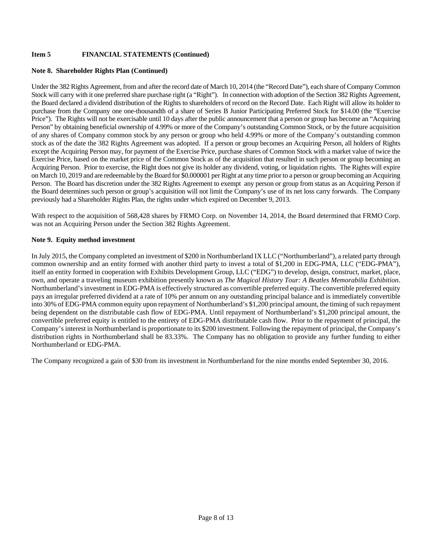#### **Note 8. Shareholder Rights Plan (Continued)**

Under the 382 Rights Agreement, from and after the record date of March 10, 2014 (the "Record Date"), each share of Company Common Stock will carry with it one preferred share purchase right (a "Right"). In connection with adoption of the Section 382 Rights Agreement, the Board declared a dividend distribution of the Rights to shareholders of record on the Record Date. Each Right will allow its holder to purchase from the Company one one-thousandth of a share of Series B Junior Participating Preferred Stock for \$14.00 (the "Exercise Price"). The Rights will not be exercisable until 10 days after the public announcement that a person or group has become an "Acquiring Person" by obtaining beneficial ownership of 4.99% or more of the Company's outstanding Common Stock, or by the future acquisition of any shares of Company common stock by any person or group who held 4.99% or more of the Company's outstanding common stock as of the date the 382 Rights Agreement was adopted. If a person or group becomes an Acquiring Person, all holders of Rights except the Acquiring Person may, for payment of the Exercise Price, purchase shares of Common Stock with a market value of twice the Exercise Price, based on the market price of the Common Stock as of the acquisition that resulted in such person or group becoming an Acquiring Person. Prior to exercise, the Right does not give its holder any dividend, voting, or liquidation rights. The Rights will expire on March 10, 2019 and are redeemable by the Board for \$0.000001 per Right at any time prior to a person or group becoming an Acquiring Person. The Board has discretion under the 382 Rights Agreement to exempt any person or group from status as an Acquiring Person if the Board determines such person or group's acquisition will not limit the Company's use of its net loss carry forwards. The Company previously had a Shareholder Rights Plan, the rights under which expired on December 9, 2013.

With respect to the acquisition of 568,428 shares by FRMO Corp. on November 14, 2014, the Board determined that FRMO Corp. was not an Acquiring Person under the Section 382 Rights Agreement.

#### **Note 9. Equity method investment**

In July 2015, the Company completed an investment of \$200 in Northumberland IX LLC ("Northumberland"), a related party through common ownership and an entity formed with another third party to invest a total of \$1,200 in EDG-PMA, LLC ("EDG-PMA"), itself an entity formed in cooperation with Exhibits Development Group, LLC ("EDG") to develop, design, construct, market, place, own, and operate a traveling museum exhibition presently known as *The Magical History Tour: A Beatles Memorabilia Exhibition*. Northumberland's investment in EDG-PMA is effectively structured as convertible preferred equity. The convertible preferred equity pays an irregular preferred dividend at a rate of 10% per annum on any outstanding principal balance and is immediately convertible into 30% of EDG-PMA common equity upon repayment of Northumberland's \$1,200 principal amount, the timing of such repayment being dependent on the distributable cash flow of EDG-PMA. Until repayment of Northumberland's \$1,200 principal amount, the convertible preferred equity is entitled to the entirety of EDG-PMA distributable cash flow. Prior to the repayment of principal, the Company's interest in Northumberland is proportionate to its \$200 investment. Following the repayment of principal, the Company's distribution rights in Northumberland shall be 83.33%. The Company has no obligation to provide any further funding to either Northumberland or EDG-PMA.

The Company recognized a gain of \$30 from its investment in Northumberland for the nine months ended September 30, 2016.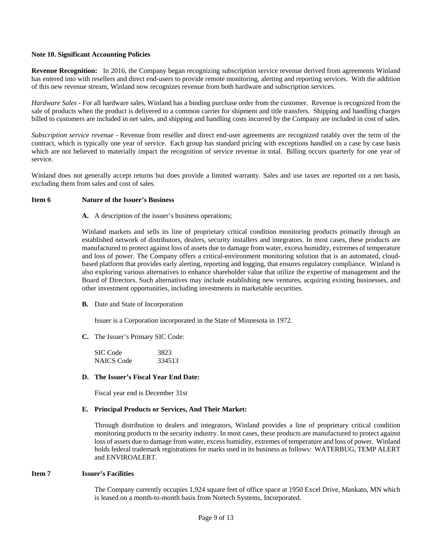#### **Note 10. Significant Accounting Policies**

**Revenue Recognition:** In 2016, the Company began recognizing subscription service revenue derived from agreements Winland has entered into with resellers and direct end-users to provide remote monitoring, alerting and reporting services. With the addition of this new revenue stream, Winland now recognizes revenue from both hardware and subscription services.

*Hardware Sales -* For all hardware sales, Winland has a binding purchase order from the customer. Revenue is recognized from the sale of products when the product is delivered to a common carrier for shipment and title transfers. Shipping and handling charges billed to customers are included in net sales, and shipping and handling costs incurred by the Company are included in cost of sales.

*Subscription service revenue -* Revenue from reseller and direct end-user agreements are recognized ratably over the term of the contract, which is typically one year of service. Each group has standard pricing with exceptions handled on a case by case basis which are not believed to materially impact the recognition of service revenue in total. Billing occurs quarterly for one year of service.

Winland does not generally accept returns but does provide a limited warranty. Sales and use taxes are reported on a net basis, excluding them from sales and cost of sales.

#### **Item 6 Nature of the Issuer's Business**

**A.** A description of the issuer's business operations;

Winland markets and sells its line of proprietary critical condition monitoring products primarily through an established network of distributors, dealers, security installers and integrators. In most cases, these products are manufactured to protect against loss of assets due to damage from water, excess humidity, extremes of temperature and loss of power. The Company offers a critical-environment monitoring solution that is an automated, cloudbased platform that provides early alerting, reporting and logging, that ensures regulatory compliance. Winland is also exploring various alternatives to enhance shareholder value that utilize the expertise of management and the Board of Directors. Such alternatives may include establishing new ventures, acquiring existing businesses, and other investment opportunities, including investments in marketable securities.

**B.** Date and State of Incorporation

Issuer is a Corporation incorporated in the State of Minnesota in 1972.

**C.** The Issuer's Primary SIC Code:

| SIC Code          | 3823   |
|-------------------|--------|
| <b>NAICS</b> Code | 334513 |

#### **D. The Issuer's Fiscal Year End Date:**

Fiscal year end is December 31st

#### **E. Principal Products or Services, And Their Market:**

Through distribution to dealers and integrators, Winland provides a line of proprietary critical condition monitoring products to the security industry. In most cases, these products are manufactured to protect against loss of assets due to damage from water, excess humidity, extremes of temperature and loss of power. Winland holds federal trademark registrations for marks used in its business as follows: WATERBUG, TEMP ALERT and ENVIROALERT.

#### **Item 7 Issuer's Facilities**

The Company currently occupies 1,924 square feet of office space at 1950 Excel Drive, Mankato, MN which is leased on a month-to-month basis from Nortech Systems, Incorporated.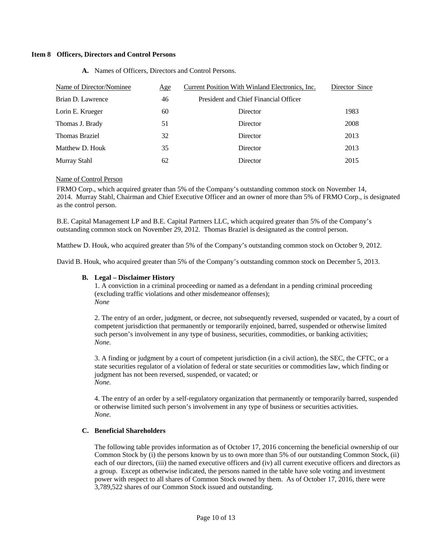#### **Item 8 Officers, Directors and Control Persons**

| President and Chief Financial Officer<br>Brian D. Lawrence<br>46 |  |  |  |
|------------------------------------------------------------------|--|--|--|
| 1983<br>Lorin E. Krueger<br>60<br>Director                       |  |  |  |
| 2008<br>Thomas J. Brady<br>51<br>Director                        |  |  |  |
| <b>Thomas Braziel</b><br>32<br>2013<br>Director                  |  |  |  |
| Matthew D. Houk<br>35<br>2013<br>Director                        |  |  |  |
| Murray Stahl<br>62<br>2015<br>Director                           |  |  |  |

**A.** Names of Officers, Directors and Control Persons.

#### Name of Control Person

FRMO Corp., which acquired greater than 5% of the Company's outstanding common stock on November 14, 2014. Murray Stahl, Chairman and Chief Executive Officer and an owner of more than 5% of FRMO Corp., is designated as the control person.

B.E. Capital Management LP and B.E. Capital Partners LLC, which acquired greater than 5% of the Company's outstanding common stock on November 29, 2012. Thomas Braziel is designated as the control person.

Matthew D. Houk, who acquired greater than 5% of the Company's outstanding common stock on October 9, 2012.

David B. Houk, who acquired greater than 5% of the Company's outstanding common stock on December 5, 2013.

#### **B. Legal – Disclaimer History**

1. A conviction in a criminal proceeding or named as a defendant in a pending criminal proceeding (excluding traffic violations and other misdemeanor offenses); *None* 

2. The entry of an order, judgment, or decree, not subsequently reversed, suspended or vacated, by a court of competent jurisdiction that permanently or temporarily enjoined, barred, suspended or otherwise limited such person's involvement in any type of business, securities, commodities, or banking activities; *None.* 

3. A finding or judgment by a court of competent jurisdiction (in a civil action), the SEC, the CFTC, or a state securities regulator of a violation of federal or state securities or commodities law, which finding or judgment has not been reversed, suspended, or vacated; or *None.* 

4. The entry of an order by a self-regulatory organization that permanently or temporarily barred, suspended or otherwise limited such person's involvement in any type of business or securities activities. *None.* 

#### **C. Beneficial Shareholders**

The following table provides information as of October 17, 2016 concerning the beneficial ownership of our Common Stock by (i) the persons known by us to own more than 5% of our outstanding Common Stock, (ii) each of our directors, (iii) the named executive officers and (iv) all current executive officers and directors as a group. Except as otherwise indicated, the persons named in the table have sole voting and investment power with respect to all shares of Common Stock owned by them. As of October 17, 2016, there were 3,789,522 shares of our Common Stock issued and outstanding.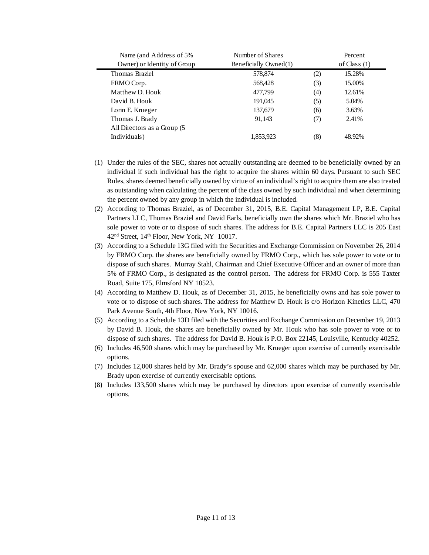| Name (and Address of 5%)    | Number of Shares      |     | Percent        |  |
|-----------------------------|-----------------------|-----|----------------|--|
| Owner) or Identity of Group | Beneficially Owned(1) |     | of Class $(1)$ |  |
| Thomas Braziel              | 578,874               | (2) | 15.28%         |  |
| FRMO Corp.                  | 568,428               | (3) | 15.00%         |  |
| Matthew D. Houk             | 477,799               | (4) | 12.61%         |  |
| David B. Houk               | 191.045               | (5) | 5.04%          |  |
| Lorin E. Krueger            | 137,679               | (6) | 3.63%          |  |
| Thomas J. Brady             | 91.143                | (7) | 2.41%          |  |
| All Directors as a Group (5 |                       |     |                |  |
| Individuals)                | 1,853,923             | (8) | 48.92%         |  |

- (1) Under the rules of the SEC, shares not actually outstanding are deemed to be beneficially owned by an individual if such individual has the right to acquire the shares within 60 days. Pursuant to such SEC Rules, shares deemed beneficially owned by virtue of an individual's right to acquire them are also treated as outstanding when calculating the percent of the class owned by such individual and when determining the percent owned by any group in which the individual is included.
- (2) According to Thomas Braziel, as of December 31, 2015, B.E. Capital Management LP, B.E. Capital Partners LLC, Thomas Braziel and David Earls, beneficially own the shares which Mr. Braziel who has sole power to vote or to dispose of such shares. The address for B.E. Capital Partners LLC is 205 East 42<sup>nd</sup> Street, 14<sup>th</sup> Floor, New York, NY 10017.
- (3) According to a Schedule 13G filed with the Securities and Exchange Commission on November 26, 2014 by FRMO Corp. the shares are beneficially owned by FRMO Corp., which has sole power to vote or to dispose of such shares. Murray Stahl, Chairman and Chief Executive Officer and an owner of more than 5% of FRMO Corp., is designated as the control person. The address for FRMO Corp. is 555 Taxter Road, Suite 175, Elmsford NY 10523.
- (4) According to Matthew D. Houk, as of December 31, 2015, he beneficially owns and has sole power to vote or to dispose of such shares. The address for Matthew D. Houk is c/o Horizon Kinetics LLC, 470 Park Avenue South, 4th Floor, New York, NY 10016.
- (5) According to a Schedule 13D filed with the Securities and Exchange Commission on December 19, 2013 by David B. Houk, the shares are beneficially owned by Mr. Houk who has sole power to vote or to dispose of such shares. The address for David B. Houk is P.O. Box 22145, Louisville, Kentucky 40252.
- (6) Includes 46,500 shares which may be purchased by Mr. Krueger upon exercise of currently exercisable options.
- (7) Includes 12,000 shares held by Mr. Brady's spouse and 62,000 shares which may be purchased by Mr. Brady upon exercise of currently exercisable options.
- (8) Includes 133,500 shares which may be purchased by directors upon exercise of currently exercisable options.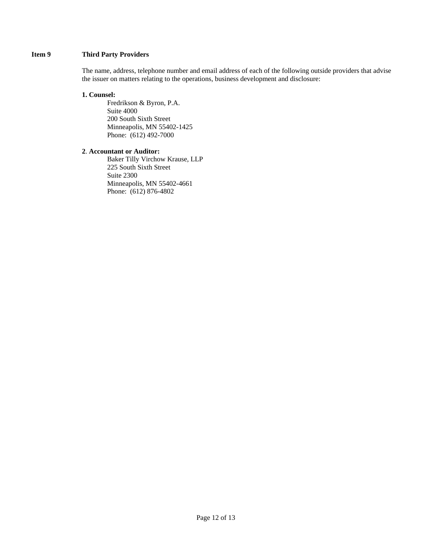#### **Item 9 Third Party Providers**

The name, address, telephone number and email address of each of the following outside providers that advise the issuer on matters relating to the operations, business development and disclosure:

#### **1. Counsel:**

Fredrikson & Byron, P.A. Suite 4000 200 South Sixth Street Minneapolis, MN 55402-1425 Phone: (612) 492-7000

#### **2**. **Accountant or Auditor:**

 Baker Tilly Virchow Krause, LLP 225 South Sixth Street Suite 2300 Minneapolis, MN 55402-4661 Phone: (612) 876-4802